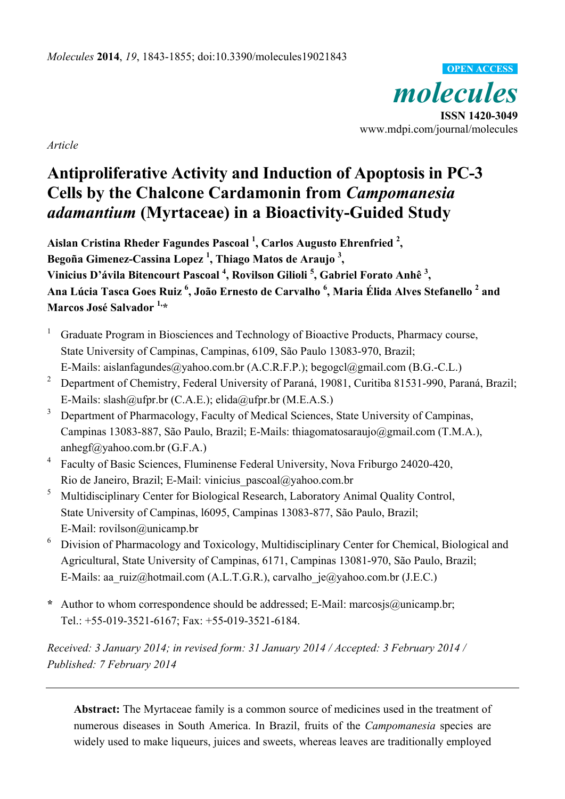*molecules*  **ISSN 1420-3049**  www.mdpi.com/journal/molecules **OPEN ACCESS**

*Article* 

# **Antiproliferative Activity and Induction of Apoptosis in PC-3 Cells by the Chalcone Cardamonin from** *Campomanesia adamantium* **(Myrtaceae) in a Bioactivity-Guided Study**

**Aislan Cristina Rheder Fagundes Pascoal 1 , Carlos Augusto Ehrenfried <sup>2</sup> , Begoña Gimenez-Cassina Lopez 1 , Thiago Matos de Araujo 3 ,**  Vinicius D'ávila Bitencourt Pascoal <sup>4</sup>, Rovilson Gilioli <sup>5</sup>, Gabriel Forato Anhê <sup>3</sup>, **Ana Lúcia Tasca Goes Ruiz <sup>6</sup> , João Ernesto de Carvalho <sup>6</sup> , Maria Élida Alves Stefanello 2 and Marcos José Salvador 1,\*** 

- 1 Graduate Program in Biosciences and Technology of Bioactive Products, Pharmacy course, State University of Campinas, Campinas, 6109, São Paulo 13083-970, Brazil; E-Mails: aislanfagundes@yahoo.com.br (A.C.R.F.P.); begogcl@gmail.com (B.G.-C.L.)
- 2 Department of Chemistry, Federal University of Paraná, 19081, Curitiba 81531-990, Paraná, Brazil; E-Mails: slash@ufpr.br (C.A.E.); elida@ufpr.br (M.E.A.S.)
- 3 Department of Pharmacology, Faculty of Medical Sciences, State University of Campinas, Campinas 13083-887, São Paulo, Brazil; E-Mails: thiagomatosaraujo@gmail.com (T.M.A.), anhegf@yahoo.com.br (G.F.A.)
- 4 Faculty of Basic Sciences, Fluminense Federal University, Nova Friburgo 24020-420, Rio de Janeiro, Brazil; E-Mail: vinicius\_pascoal@yahoo.com.br
- 5 Multidisciplinary Center for Biological Research, Laboratory Animal Quality Control, State University of Campinas, l6095, Campinas 13083-877, São Paulo, Brazil; E-Mail: rovilson@unicamp.br
- 6 Division of Pharmacology and Toxicology, Multidisciplinary Center for Chemical, Biological and Agricultural, State University of Campinas, 6171, Campinas 13081-970, São Paulo, Brazil; E-Mails: aa\_ruiz@hotmail.com (A.L.T.G.R.), carvalho\_je@yahoo.com.br (J.E.C.)
- **\*** Author to whom correspondence should be addressed; E-Mail: marcosjs@unicamp.br; Tel.: +55-019-3521-6167; Fax: +55-019-3521-6184.

*Received: 3 January 2014; in revised form: 31 January 2014 / Accepted: 3 February 2014 / Published: 7 February 2014* 

**Abstract:** The Myrtaceae family is a common source of medicines used in the treatment of numerous diseases in South America. In Brazil, fruits of the *Campomanesia* species are widely used to make liqueurs, juices and sweets, whereas leaves are traditionally employed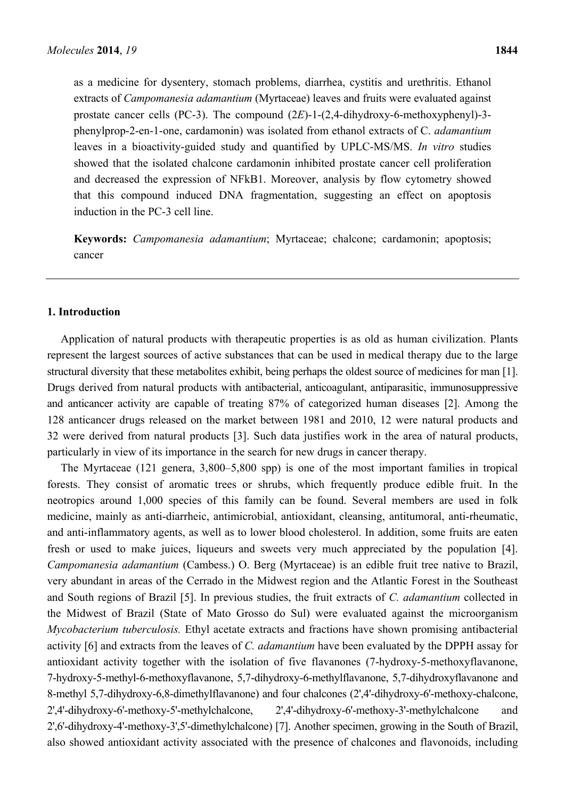as a medicine for dysentery, stomach problems, diarrhea, cystitis and urethritis. Ethanol extracts of *Campomanesia adamantium* (Myrtaceae) leaves and fruits were evaluated against prostate cancer cells (PC-3). The compound (2*E*)-1-(2,4-dihydroxy-6-methoxyphenyl)-3 phenylprop-2-en-1-one, cardamonin) was isolated from ethanol extracts of C. *adamantium* leaves in a bioactivity-guided study and quantified by UPLC-MS/MS. *In vitro* studies showed that the isolated chalcone cardamonin inhibited prostate cancer cell proliferation and decreased the expression of NFkB1. Moreover, analysis by flow cytometry showed that this compound induced DNA fragmentation, suggesting an effect on apoptosis induction in the PC-3 cell line.

**Keywords:** *Campomanesia adamantium*; Myrtaceae; chalcone; cardamonin; apoptosis; cancer

#### **1. Introduction**

Application of natural products with therapeutic properties is as old as human civilization. Plants represent the largest sources of active substances that can be used in medical therapy due to the large structural diversity that these metabolites exhibit, being perhaps the oldest source of medicines for man [1]. Drugs derived from natural products with antibacterial, anticoagulant, antiparasitic, immunosuppressive and anticancer activity are capable of treating 87% of categorized human diseases [2]. Among the 128 anticancer drugs released on the market between 1981 and 2010, 12 were natural products and 32 were derived from natural products [3]. Such data justifies work in the area of natural products, particularly in view of its importance in the search for new drugs in cancer therapy.

The Myrtaceae (121 genera, 3,800–5,800 spp) is one of the most important families in tropical forests. They consist of aromatic trees or shrubs, which frequently produce edible fruit. In the neotropics around 1,000 species of this family can be found. Several members are used in folk medicine, mainly as anti-diarrheic, antimicrobial, antioxidant, cleansing, antitumoral, anti-rheumatic, and anti-inflammatory agents, as well as to lower blood cholesterol. In addition, some fruits are eaten fresh or used to make juices, liqueurs and sweets very much appreciated by the population [4]. *Campomanesia adamantium* (Cambess.) O. Berg (Myrtaceae) is an edible fruit tree native to Brazil, very abundant in areas of the Cerrado in the Midwest region and the Atlantic Forest in the Southeast and South regions of Brazil [5]. In previous studies, the fruit extracts of *C. adamantium* collected in the Midwest of Brazil (State of Mato Grosso do Sul) were evaluated against the microorganism *Mycobacterium tuberculosis.* Ethyl acetate extracts and fractions have shown promising antibacterial activity [6] and extracts from the leaves of *C. adamantium* have been evaluated by the DPPH assay for antioxidant activity together with the isolation of five flavanones (7-hydroxy-5-methoxyflavanone, 7-hydroxy-5-methyl-6-methoxyflavanone, 5,7-dihydroxy-6-methylflavanone, 5,7-dihydroxyflavanone and 8-methyl 5,7-dihydroxy-6,8-dimethylflavanone) and four chalcones (2',4'-dihydroxy-6'-methoxy-chalcone, 2',4'-dihydroxy-6'-methoxy-5'-methylchalcone, 2',4'-dihydroxy-6'-methoxy-3'-methylchalcone and 2',6'-dihydroxy-4'-methoxy-3',5'-dimethylchalcone) [7]. Another specimen, growing in the South of Brazil, also showed antioxidant activity associated with the presence of chalcones and flavonoids, including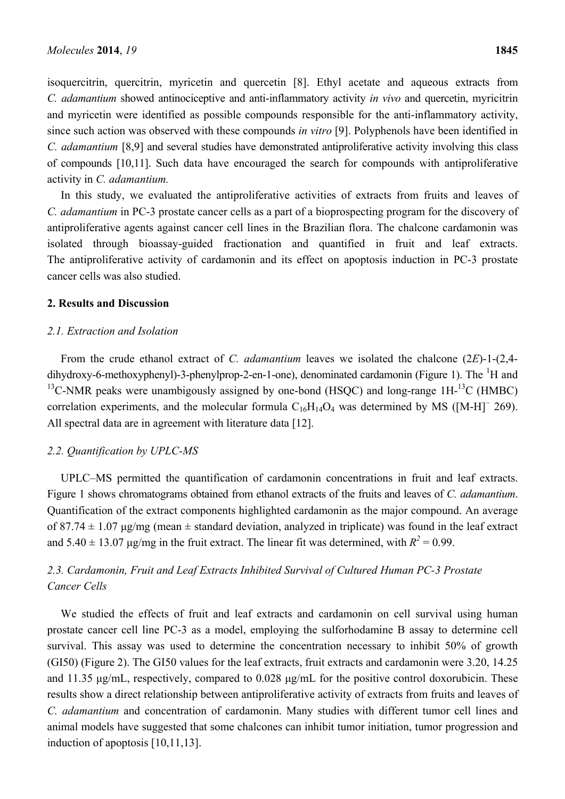isoquercitrin, quercitrin, myricetin and quercetin [8]. Ethyl acetate and aqueous extracts from *C. adamantium* showed antinociceptive and anti-inflammatory activity *in vivo* and quercetin, myricitrin and myricetin were identified as possible compounds responsible for the anti-inflammatory activity, since such action was observed with these compounds *in vitro* [9]. Polyphenols have been identified in *C. adamantium* [8,9] and several studies have demonstrated antiproliferative activity involving this class of compounds [10,11]. Such data have encouraged the search for compounds with antiproliferative activity in *C. adamantium.*

In this study, we evaluated the antiproliferative activities of extracts from fruits and leaves of *C. adamantium* in PC-3 prostate cancer cells as a part of a bioprospecting program for the discovery of antiproliferative agents against cancer cell lines in the Brazilian flora. The chalcone cardamonin was isolated through bioassay-guided fractionation and quantified in fruit and leaf extracts. The antiproliferative activity of cardamonin and its effect on apoptosis induction in PC-3 prostate cancer cells was also studied.

#### **2. Results and Discussion**

#### *2.1. Extraction and Isolation*

From the crude ethanol extract of *C. adamantium* leaves we isolated the chalcone (2*E*)-1-(2,4 dihydroxy-6-methoxyphenyl)-3-phenylprop-2-en-1-one), denominated cardamonin (Figure 1). The  ${}^{1}H$  and  $^{13}$ C-NMR peaks were unambigously assigned by one-bond (HSOC) and long-range 1H- $^{13}$ C (HMBC) correlation experiments, and the molecular formula  $C_{16}H_{14}O_4$  was determined by MS ([M-H]<sup>-</sup> 269). All spectral data are in agreement with literature data [12].

#### *2.2. Quantification by UPLC-MS*

UPLC–MS permitted the quantification of cardamonin concentrations in fruit and leaf extracts. Figure 1 shows chromatograms obtained from ethanol extracts of the fruits and leaves of *C. adamantium*. Quantification of the extract components highlighted cardamonin as the major compound. An average of 87.74  $\pm$  1.07 μg/mg (mean  $\pm$  standard deviation, analyzed in triplicate) was found in the leaf extract and  $5.40 \pm 13.07$   $\mu$ g/mg in the fruit extract. The linear fit was determined, with  $R^2 = 0.99$ .

## *2.3. Cardamonin, Fruit and Leaf Extracts Inhibited Survival of Cultured Human PC-3 Prostate Cancer Cells*

We studied the effects of fruit and leaf extracts and cardamonin on cell survival using human prostate cancer cell line PC-3 as a model, employing the sulforhodamine B assay to determine cell survival. This assay was used to determine the concentration necessary to inhibit 50% of growth (GI50) (Figure 2). The GI50 values for the leaf extracts, fruit extracts and cardamonin were 3.20, 14.25 and 11.35 μg/mL, respectively, compared to 0.028 μg/mL for the positive control doxorubicin. These results show a direct relationship between antiproliferative activity of extracts from fruits and leaves of *C. adamantium* and concentration of cardamonin. Many studies with different tumor cell lines and animal models have suggested that some chalcones can inhibit tumor initiation, tumor progression and induction of apoptosis [10,11,13].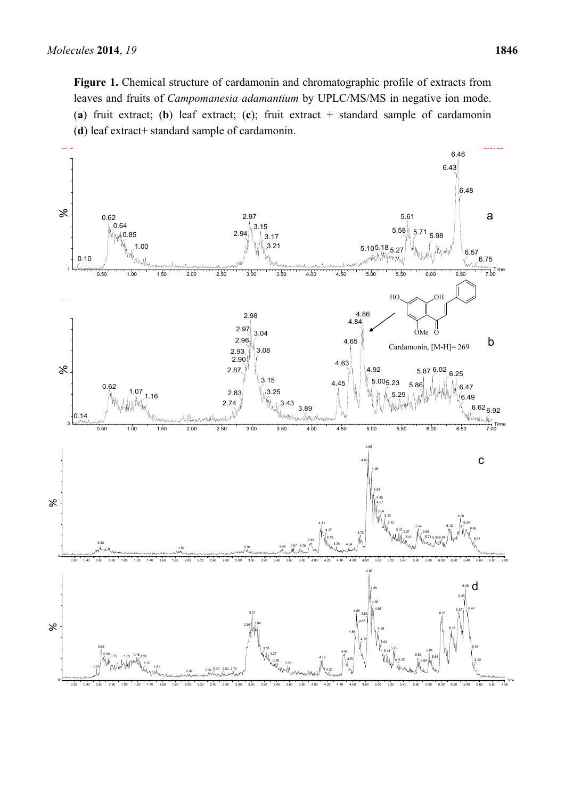**Figure 1.** Chemical structure of cardamonin and chromatographic profile of extracts from leaves and fruits of *Campomanesia adamantium* by UPLC/MS/MS in negative ion mode. (**a**) fruit extract; (**b**) leaf extract; (**c**); fruit extract + standard sample of cardamonin (**d**) leaf extract+ standard sample of cardamonin.

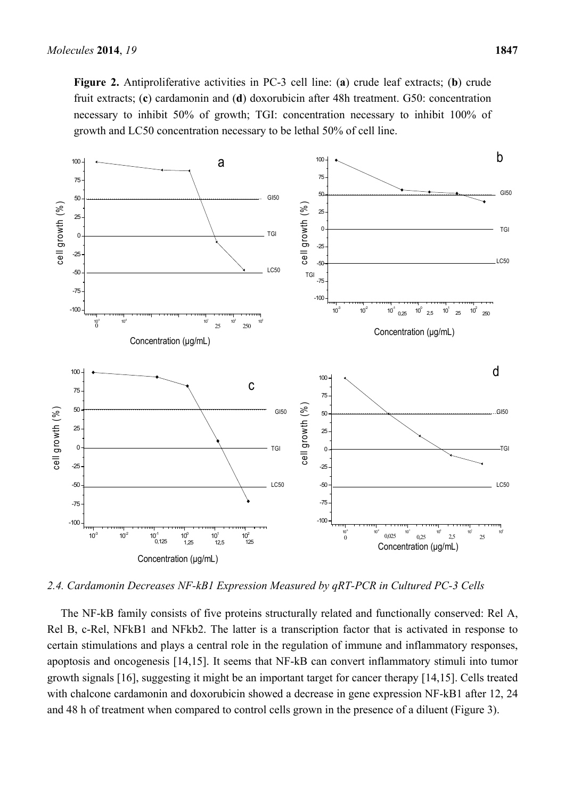**Figure 2.** Antiproliferative activities in PC-3 cell line: (**a**) crude leaf extracts; (**b**) crude fruit extracts; (**c**) cardamonin and (**d**) doxorubicin after 48h treatment. G50: concentration necessary to inhibit 50% of growth; TGI: concentration necessary to inhibit 100% of growth and LC50 concentration necessary to be lethal 50% of cell line.



*2.4. Cardamonin Decreases NF-kB1 Expression Measured by qRT-PCR in Cultured PC-3 Cells* 

The NF-kB family consists of five proteins structurally related and functionally conserved: Rel A, Rel B, c-Rel, NFkB1 and NFkb2. The latter is a transcription factor that is activated in response to certain stimulations and plays a central role in the regulation of immune and inflammatory responses, apoptosis and oncogenesis [14,15]. It seems that NF-kB can convert inflammatory stimuli into tumor growth signals [16], suggesting it might be an important target for cancer therapy [14,15]. Cells treated with chalcone cardamonin and doxorubicin showed a decrease in gene expression NF-kB1 after 12, 24 and 48 h of treatment when compared to control cells grown in the presence of a diluent (Figure 3).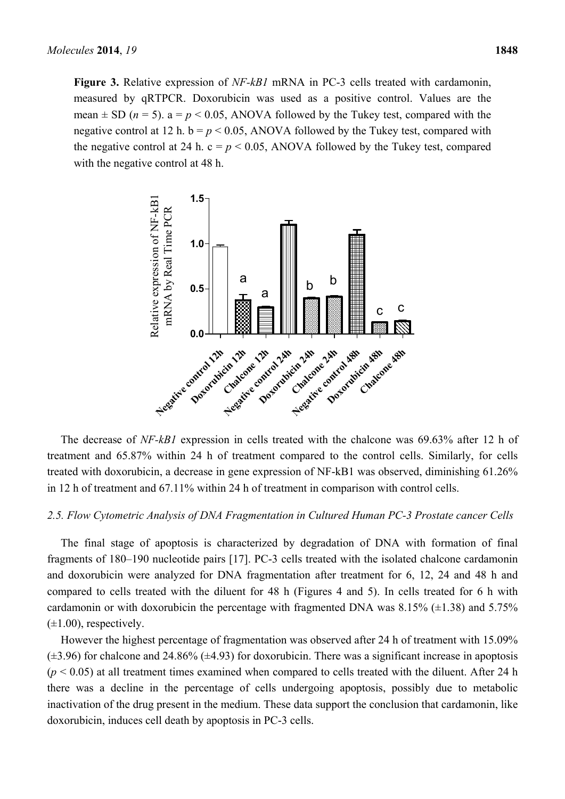**Figure 3.** Relative expression of *NF-kB1* mRNA in PC-3 cells treated with cardamonin, measured by qRTPCR. Doxorubicin was used as a positive control. Values are the mean  $\pm$  SD ( $n = 5$ ). a =  $p < 0.05$ , ANOVA followed by the Tukey test, compared with the negative control at 12 h.  $b = p < 0.05$ , ANOVA followed by the Tukey test, compared with the negative control at 24 h.  $c = p < 0.05$ , ANOVA followed by the Tukey test, compared with the negative control at 48 h.



The decrease of *NF-kB1* expression in cells treated with the chalcone was 69.63% after 12 h of treatment and 65.87% within 24 h of treatment compared to the control cells. Similarly, for cells treated with doxorubicin, a decrease in gene expression of NF-kB1 was observed, diminishing 61.26% in 12 h of treatment and 67.11% within 24 h of treatment in comparison with control cells.

#### *2.5. Flow Cytometric Analysis of DNA Fragmentation in Cultured Human PC-3 Prostate cancer Cells*

The final stage of apoptosis is characterized by degradation of DNA with formation of final fragments of 180–190 nucleotide pairs [17]. PC-3 cells treated with the isolated chalcone cardamonin and doxorubicin were analyzed for DNA fragmentation after treatment for 6, 12, 24 and 48 h and compared to cells treated with the diluent for 48 h (Figures 4 and 5). In cells treated for 6 h with cardamonin or with doxorubicin the percentage with fragmented DNA was  $8.15\%$  ( $\pm$ 1.38) and 5.75%  $(\pm 1.00)$ , respectively.

However the highest percentage of fragmentation was observed after 24 h of treatment with 15.09%  $(\pm 3.96)$  for chalcone and 24.86% ( $\pm 4.93$ ) for doxorubicin. There was a significant increase in apoptosis  $(p < 0.05)$  at all treatment times examined when compared to cells treated with the diluent. After 24 h there was a decline in the percentage of cells undergoing apoptosis, possibly due to metabolic inactivation of the drug present in the medium. These data support the conclusion that cardamonin, like doxorubicin, induces cell death by apoptosis in PC-3 cells.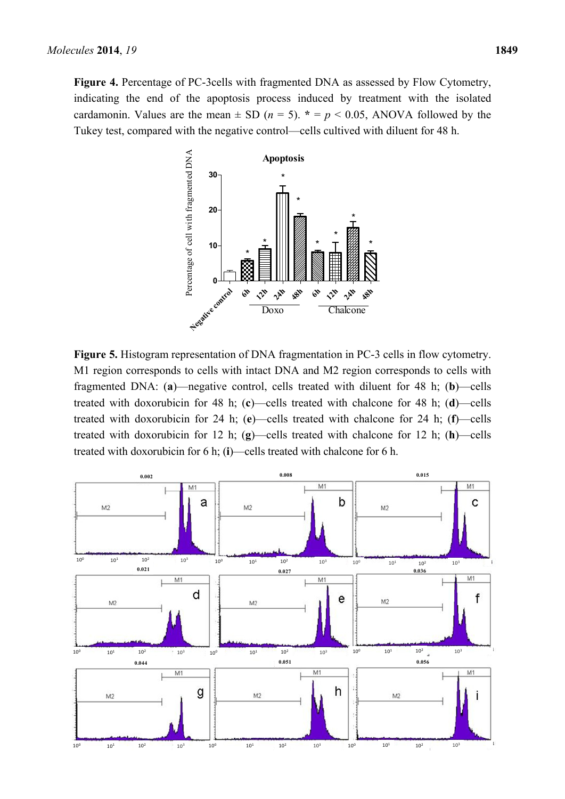

Tukey test, compared with the negative control—cells cultived with diluent for 48 h.

**Figure 5.** Histogram representation of DNA fragmentation in PC-3 cells in flow cytometry. M1 region corresponds to cells with intact DNA and M2 region corresponds to cells with fragmented DNA: (**a**)—negative control, cells treated with diluent for 48 h; (**b**)—cells treated with doxorubicin for 48 h; (**c**)—cells treated with chalcone for 48 h; (**d**)—cells treated with doxorubicin for 24 h; (**e**)—cells treated with chalcone for 24 h; (**f**)—cells treated with doxorubicin for 12 h; (**g**)—cells treated with chalcone for 12 h; (**h**)—cells treated with doxorubicin for 6 h; (**i**)—cells treated with chalcone for 6 h.

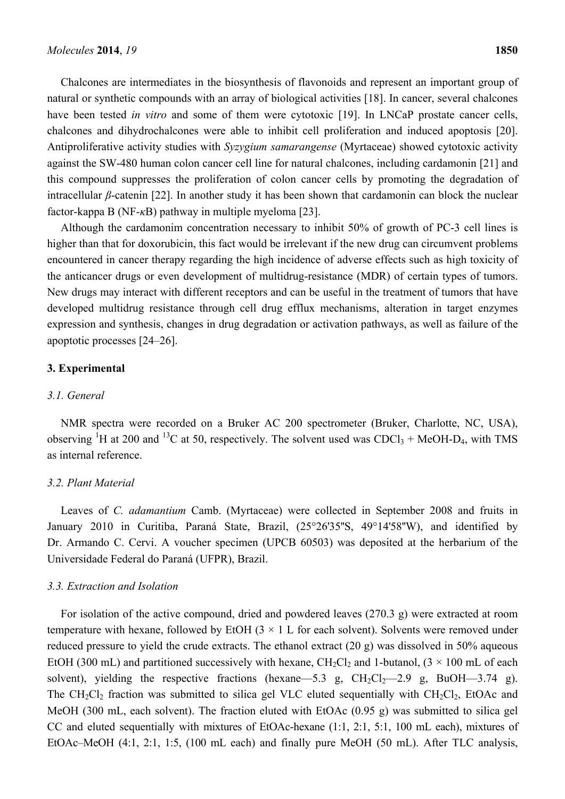Chalcones are intermediates in the biosynthesis of flavonoids and represent an important group of natural or synthetic compounds with an array of biological activities [18]. In cancer, several chalcones have been tested *in vitro* and some of them were cytotoxic [19]. In LNCaP prostate cancer cells, chalcones and dihydrochalcones were able to inhibit cell proliferation and induced apoptosis [20]. Antiproliferative activity studies with *Syzygium samarangense* (Myrtaceae) showed cytotoxic activity against the SW-480 human colon cancer cell line for natural chalcones, including cardamonin [21] and this compound suppresses the proliferation of colon cancer cells by promoting the degradation of intracellular *β*-catenin [22]. In another study it has been shown that cardamonin can block the nuclear factor-kappa B (NF-*κ*B) pathway in multiple myeloma [23].

Although the cardamonim concentration necessary to inhibit 50% of growth of PC-3 cell lines is higher than that for doxorubicin, this fact would be irrelevant if the new drug can circumvent problems encountered in cancer therapy regarding the high incidence of adverse effects such as high toxicity of the anticancer drugs or even development of multidrug-resistance (MDR) of certain types of tumors. New drugs may interact with different receptors and can be useful in the treatment of tumors that have developed multidrug resistance through cell drug efflux mechanisms, alteration in target enzymes expression and synthesis, changes in drug degradation or activation pathways, as well as failure of the apoptotic processes [24–26].

#### **3. Experimental**

#### *3.1. General*

NMR spectra were recorded on a Bruker AC 200 spectrometer (Bruker, Charlotte, NC, USA), observing <sup>1</sup>H at 200 and <sup>13</sup>C at 50, respectively. The solvent used was CDCl<sub>3</sub> + MeOH-D<sub>4</sub>, with TMS as internal reference.

#### *3.2. Plant Material*

Leaves of *C. adamantium* Camb. (Myrtaceae) were collected in September 2008 and fruits in January 2010 in Curitiba, Paraná State, Brazil, (25°26'35''S, 49°14'58''W), and identified by Dr. Armando C. Cervi. A voucher specimen (UPCB 60503) was deposited at the herbarium of the Universidade Federal do Paraná (UFPR), Brazil.

#### *3.3. Extraction and Isolation*

For isolation of the active compound, dried and powdered leaves (270.3 g) were extracted at room temperature with hexane, followed by EtOH  $(3 \times 1)$  L for each solvent). Solvents were removed under reduced pressure to yield the crude extracts. The ethanol extract (20 g) was dissolved in 50% aqueous EtOH (300 mL) and partitioned successively with hexane, CH<sub>2</sub>Cl<sub>2</sub> and 1-butanol, (3  $\times$  100 mL of each solvent), yielding the respective fractions (hexane—5.3 g,  $CH_2Cl_2$ —2.9 g, BuOH—3.74 g). The CH<sub>2</sub>Cl<sub>2</sub> fraction was submitted to silica gel VLC eluted sequentially with CH<sub>2</sub>Cl<sub>2</sub>, EtOAc and MeOH (300 mL, each solvent). The fraction eluted with EtOAc (0.95 g) was submitted to silica gel CC and eluted sequentially with mixtures of EtOAc-hexane (1:1, 2:1, 5:1, 100 mL each), mixtures of EtOAc–MeOH (4:1, 2:1, 1:5, (100 mL each) and finally pure MeOH (50 mL). After TLC analysis,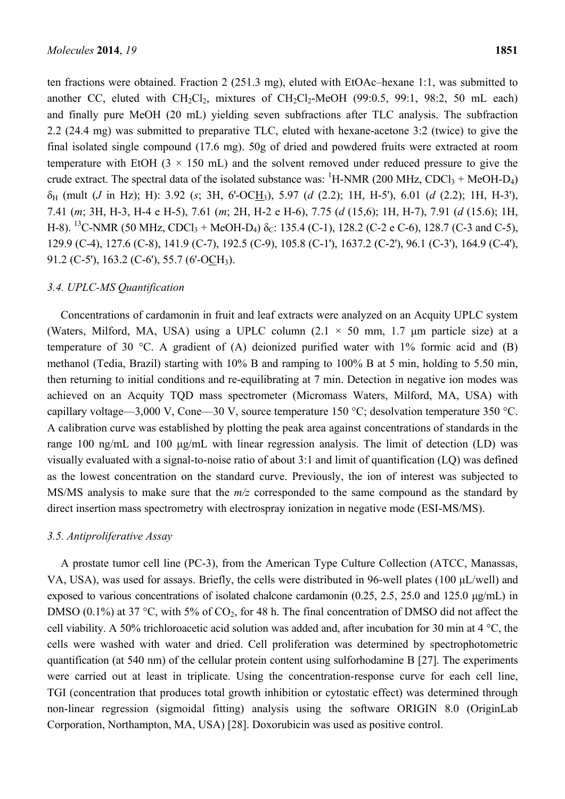ten fractions were obtained. Fraction 2 (251.3 mg), eluted with EtOAc–hexane 1:1, was submitted to another CC, eluted with  $CH_2Cl_2$ , mixtures of  $CH_2Cl_2$ -MeOH (99:0.5, 99:1, 98:2, 50 mL each) and finally pure MeOH (20 mL) yielding seven subfractions after TLC analysis. The subfraction 2.2 (24.4 mg) was submitted to preparative TLC, eluted with hexane-acetone 3:2 (twice) to give the final isolated single compound (17.6 mg). 50g of dried and powdered fruits were extracted at room temperature with EtOH  $(3 \times 150 \text{ mL})$  and the solvent removed under reduced pressure to give the crude extract. The spectral data of the isolated substance was:  ${}^{1}$ H-NMR (200 MHz, CDCl<sub>3</sub> + MeOH-D<sub>4</sub>) δH (mult (*J* in Hz); H): 3.92 (*s*; 3H, 6'-OCH3), 5.97 (*d* (2.2); 1H, H-5'), 6.01 (*d* (2.2); 1H, H-3'), 7.41 (*m*; 3H, H-3, H-4 e H-5), 7.61 (*m*; 2H, H-2 e H-6), 7.75 (*d* (15,6); 1H, H-7), 7.91 (*d* (15.6); 1H, H-8). <sup>13</sup>C-NMR (50 MHz, CDCl<sub>3</sub> + MeOH-D<sub>4</sub>)  $\delta$ <sub>C</sub>: 135.4 (C-1), 128.2 (C-2 e C-6), 128.7 (C-3 and C-5), 129.9 (C-4), 127.6 (C-8), 141.9 (C-7), 192.5 (C-9), 105.8 (C-1'), 1637.2 (C-2'), 96.1 (C-3'), 164.9 (C-4'), 91.2 (C-5'), 163.2 (C-6'), 55.7 (6'-OCH3).

#### *3.4. UPLC-MS Quantification*

Concentrations of cardamonin in fruit and leaf extracts were analyzed on an Acquity UPLC system (Waters, Milford, MA, USA) using a UPLC column  $(2.1 \times 50$  mm, 1.7 µm particle size) at a temperature of 30 °C. A gradient of (A) deionized purified water with  $1\%$  formic acid and (B) methanol (Tedia, Brazil) starting with 10% B and ramping to 100% B at 5 min, holding to 5.50 min, then returning to initial conditions and re-equilibrating at 7 min. Detection in negative ion modes was achieved on an Acquity TQD mass spectrometer (Micromass Waters, Milford, MA, USA) with capillary voltage—3,000 V, Cone—30 V, source temperature 150 °C; desolvation temperature 350 °C. A calibration curve was established by plotting the peak area against concentrations of standards in the range 100 ng/mL and 100 μg/mL with linear regression analysis. The limit of detection (LD) was visually evaluated with a signal-to-noise ratio of about 3:1 and limit of quantification (LQ) was defined as the lowest concentration on the standard curve. Previously, the ion of interest was subjected to MS/MS analysis to make sure that the *m/z* corresponded to the same compound as the standard by direct insertion mass spectrometry with electrospray ionization in negative mode (ESI-MS/MS).

#### *3.5. Antiproliferative Assay*

A prostate tumor cell line (PC-3), from the American Type Culture Collection (ATCC, Manassas, VA, USA), was used for assays. Briefly, the cells were distributed in 96-well plates (100 μL/well) and exposed to various concentrations of isolated chalcone cardamonin (0.25, 2.5, 25.0 and 125.0  $\mu$ g/mL) in DMSO (0.1%) at 37 °C, with 5% of  $CO<sub>2</sub>$ , for 48 h. The final concentration of DMSO did not affect the cell viability. A 50% trichloroacetic acid solution was added and, after incubation for 30 min at 4 °C, the cells were washed with water and dried. Cell proliferation was determined by spectrophotometric quantification (at 540 nm) of the cellular protein content using sulforhodamine B [27]. The experiments were carried out at least in triplicate. Using the concentration-response curve for each cell line, TGI (concentration that produces total growth inhibition or cytostatic effect) was determined through non-linear regression (sigmoidal fitting) analysis using the software ORIGIN 8.0 (OriginLab Corporation, Northampton, MA, USA) [28]. Doxorubicin was used as positive control.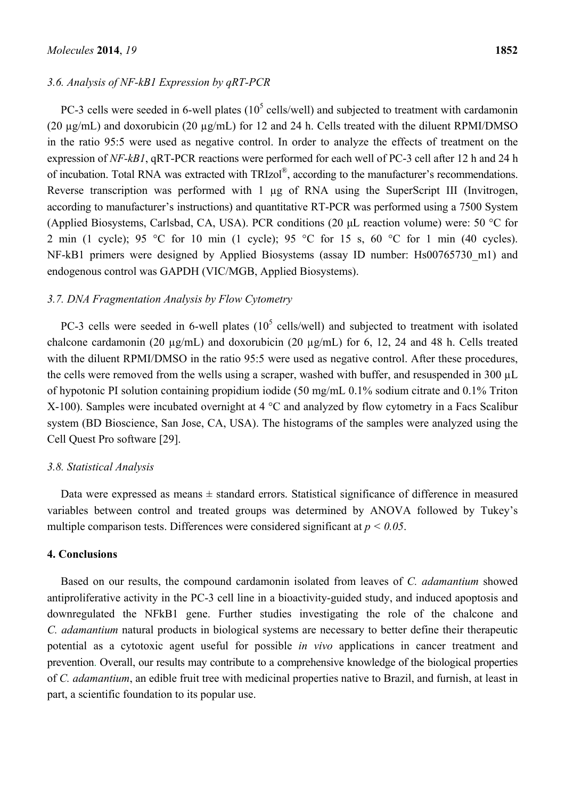### *3.6. Analysis of NF-kB1 Expression by qRT-PCR*

PC-3 cells were seeded in 6-well plates  $(10^5 \text{ cells/well})$  and subjected to treatment with cardamonin (20 µg/mL) and doxorubicin (20 µg/mL) for 12 and 24 h. Cells treated with the diluent RPMI/DMSO in the ratio 95:5 were used as negative control. In order to analyze the effects of treatment on the expression of *NF-kB1*, qRT-PCR reactions were performed for each well of PC-3 cell after 12 h and 24 h of incubation. Total RNA was extracted with TRIzol®, according to the manufacturer's recommendations. Reverse transcription was performed with 1 µg of RNA using the SuperScript III (Invitrogen, according to manufacturer's instructions) and quantitative RT-PCR was performed using a 7500 System (Applied Biosystems, Carlsbad, CA, USA). PCR conditions (20 μL reaction volume) were: 50 °C for 2 min (1 cycle); 95 °C for 10 min (1 cycle); 95 °C for 15 s, 60 °C for 1 min (40 cycles). NF-kB1 primers were designed by Applied Biosystems (assay ID number: Hs00765730 m1) and endogenous control was GAPDH (VIC/MGB, Applied Biosystems).

#### *3.7. DNA Fragmentation Analysis by Flow Cytometry*

PC-3 cells were seeded in 6-well plates  $(10^5 \text{ cells/well})$  and subjected to treatment with isolated chalcone cardamonin (20 µg/mL) and doxorubicin (20 µg/mL) for 6, 12, 24 and 48 h. Cells treated with the diluent RPMI/DMSO in the ratio 95:5 were used as negative control. After these procedures, the cells were removed from the wells using a scraper, washed with buffer, and resuspended in 300 µL of hypotonic PI solution containing propidium iodide (50 mg/mL 0.1% sodium citrate and 0.1% Triton X-100). Samples were incubated overnight at 4 °C and analyzed by flow cytometry in a Facs Scalibur system (BD Bioscience, San Jose, CA, USA). The histograms of the samples were analyzed using the Cell Quest Pro software [29].

#### *3.8. Statistical Analysis*

Data were expressed as means  $\pm$  standard errors. Statistical significance of difference in measured variables between control and treated groups was determined by ANOVA followed by Tukey's multiple comparison tests. Differences were considered significant at *p < 0.05*.

#### **4. Conclusions**

Based on our results, the compound cardamonin isolated from leaves of *C. adamantium* showed antiproliferative activity in the PC-3 cell line in a bioactivity-guided study, and induced apoptosis and downregulated the NFkB1 gene. Further studies investigating the role of the chalcone and *C. adamantium* natural products in biological systems are necessary to better define their therapeutic potential as a cytotoxic agent useful for possible *in vivo* applications in cancer treatment and prevention. Overall, our results may contribute to a comprehensive knowledge of the biological properties of *C. adamantium*, an edible fruit tree with medicinal properties native to Brazil, and furnish, at least in part, a scientific foundation to its popular use.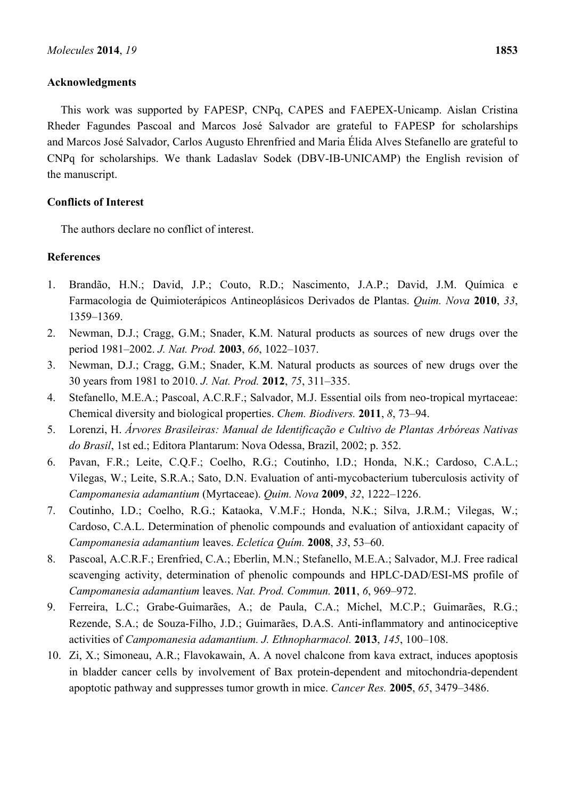## **Acknowledgments**

This work was supported by FAPESP, CNPq, CAPES and FAEPEX-Unicamp. Aislan Cristina Rheder Fagundes Pascoal and Marcos José Salvador are grateful to FAPESP for scholarships and Marcos José Salvador, Carlos Augusto Ehrenfried and Maria Élida Alves Stefanello are grateful to CNPq for scholarships. We thank Ladaslav Sodek (DBV-IB-UNICAMP) the English revision of the manuscript.

## **Conflicts of Interest**

The authors declare no conflict of interest.

## **References**

- 1. Brandão, H.N.; David, J.P.; Couto, R.D.; Nascimento, J.A.P.; David, J.M. Química e Farmacologia de Quimioterápicos Antineoplásicos Derivados de Plantas. *Quim. Nova* **2010**, *33*, 1359–1369.
- 2. Newman, D.J.; Cragg, G.M.; Snader, K.M. Natural products as sources of new drugs over the period 1981–2002. *J. Nat. Prod.* **2003**, *66*, 1022–1037.
- 3. Newman, D.J.; Cragg, G.M.; Snader, K.M. Natural products as sources of new drugs over the 30 years from 1981 to 2010. *J. Nat. Prod.* **2012**, *75*, 311–335.
- 4. Stefanello, M.E.A.; Pascoal, A.C.R.F.; Salvador, M.J. Essential oils from neo-tropical myrtaceae: Chemical diversity and biological properties. *Chem. Biodivers.* **2011**, *8*, 73–94.
- 5. Lorenzi, H. *Árvores Brasileiras: Manual de Identificação e Cultivo de Plantas Arbóreas Nativas do Brasil*, 1st ed.; Editora Plantarum: Nova Odessa, Brazil, 2002; p. 352.
- 6. Pavan, F.R.; Leite, C.Q.F.; Coelho, R.G.; Coutinho, I.D.; Honda, N.K.; Cardoso, C.A.L.; Vilegas, W.; Leite, S.R.A.; Sato, D.N. Evaluation of anti-mycobacterium tuberculosis activity of *Campomanesia adamantium* (Myrtaceae). *Quim. Nova* **2009**, *32*, 1222–1226.
- 7. Coutinho, I.D.; Coelho, R.G.; Kataoka, V.M.F.; Honda, N.K.; Silva, J.R.M.; Vilegas, W.; Cardoso, C.A.L. Determination of phenolic compounds and evaluation of antioxidant capacity of *Campomanesia adamantium* leaves. *Ecletíca Quím.* **2008**, *33*, 53–60.
- 8. Pascoal, A.C.R.F.; Erenfried, C.A.; Eberlin, M.N.; Stefanello, M.E.A.; Salvador, M.J. Free radical scavenging activity, determination of phenolic compounds and HPLC-DAD/ESI-MS profile of *Campomanesia adamantium* leaves. *Nat. Prod. Commun.* **2011**, *6*, 969–972.
- 9. Ferreira, L.C.; Grabe-Guimarães, A.; de Paula, C.A.; Michel, M.C.P.; Guimarães, R.G.; Rezende, S.A.; de Souza-Filho, J.D.; Guimarães, D.A.S. Anti-inflammatory and antinociceptive activities of *Campomanesia adamantium. J. Ethnopharmacol.* **2013**, *145*, 100–108.
- 10. Zi, X.; Simoneau, A.R.; Flavokawain, A. A novel chalcone from kava extract, induces apoptosis in bladder cancer cells by involvement of Bax protein-dependent and mitochondria-dependent apoptotic pathway and suppresses tumor growth in mice. *Cancer Res.* **2005**, *65*, 3479–3486.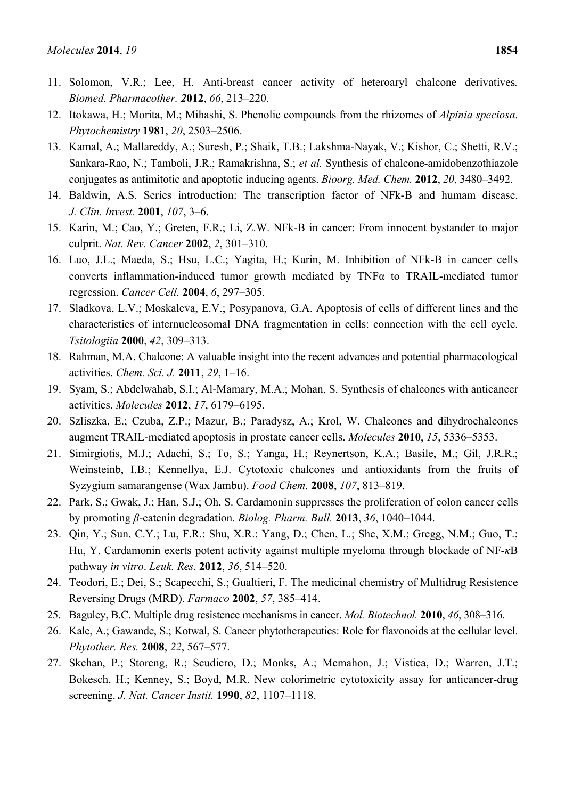- 11. Solomon, V.R.; Lee, H. Anti-breast cancer activity of heteroaryl chalcone derivatives*. Biomed. Pharmacother. 2***012**, *66*, 213–220.
- 12. Itokawa, H.; Morita, M.; Mihashi, S. Phenolic compounds from the rhizomes of *Alpinia speciosa*. *Phytochemistry* **1981**, *20*, 2503–2506.
- 13. Kamal, A.; Mallareddy, A.; Suresh, P.; Shaik, T.B.; Lakshma-Nayak, V.; Kishor, C.; Shetti, R.V.; Sankara-Rao, N.; Tamboli, J.R.; Ramakrishna, S.; *et al.* Synthesis of chalcone-amidobenzothiazole conjugates as antimitotic and apoptotic inducing agents. *Bioorg. Med. Chem.* **2012**, *20*, 3480–3492.
- 14. Baldwin, A.S. Series introduction: The transcription factor of NFk-B and humam disease. *J. Clin. Invest.* **2001**, *107*, 3–6.
- 15. Karin, M.; Cao, Y.; Greten, F.R.; Li, Z.W. NFk-B in cancer: From innocent bystander to major culprit. *Nat. Rev. Cancer* **2002**, *2*, 301–310.
- 16. Luo, J.L.; Maeda, S.; Hsu, L.C.; Yagita, H.; Karin, M. Inhibition of NFk-B in cancer cells converts inflammation-induced tumor growth mediated by TNFα to TRAIL-mediated tumor regression. *Cancer Cell.* **2004**, *6*, 297–305.
- 17. Sladkova, L.V.; Moskaleva, E.V.; Posypanova, G.A. Apoptosis of cells of different lines and the characteristics of internucleosomal DNA fragmentation in cells: connection with the cell cycle. *Tsitologiia* **2000**, *42*, 309–313.
- 18. Rahman, M.A. Chalcone: A valuable insight into the recent advances and potential pharmacological activities. *Chem. Sci. J.* **2011**, *29*, 1–16.
- 19. Syam, S.; Abdelwahab, S.I.; Al-Mamary, M.A.; Mohan, S. Synthesis of chalcones with anticancer activities. *Molecules* **2012**, *17*, 6179–6195.
- 20. Szliszka, E.; Czuba, Z.P.; Mazur, B.; Paradysz, A.; Krol, W. Chalcones and dihydrochalcones augment TRAIL-mediated apoptosis in prostate cancer cells. *Molecules* **2010**, *15*, 5336–5353.
- 21. Simirgiotis, M.J.; Adachi, S.; To, S.; Yanga, H.; Reynertson, K.A.; Basile, M.; Gil, J.R.R.; Weinsteinb, I.B.; Kennellya, E.J. Cytotoxic chalcones and antioxidants from the fruits of Syzygium samarangense (Wax Jambu). *Food Chem.* **2008**, *107*, 813–819.
- 22. Park, S.; Gwak, J.; Han, S.J.; Oh, S. Cardamonin suppresses the proliferation of colon cancer cells by promoting *β*-catenin degradation. *Biolog. Pharm. Bull.* **2013**, *36*, 1040–1044.
- 23. Qin, Y.; Sun, C.Y.; Lu, F.R.; Shu, X.R.; Yang, D.; Chen, L.; She, X.M.; Gregg, N.M.; Guo, T.; Hu, Y. Cardamonin exerts potent activity against multiple myeloma through blockade of NF-*κ*B pathway *in vitro*. *Leuk. Res.* **2012**, *36*, 514–520.
- 24. Teodori, E.; Dei, S.; Scapecchi, S.; Gualtieri, F. The medicinal chemistry of Multidrug Resistence Reversing Drugs (MRD). *Farmaco* **2002**, *57*, 385–414.
- 25. Baguley, B.C. Multiple drug resistence mechanisms in cancer. *Mol. Biotechnol.* **2010**, *46*, 308–316.
- 26. Kale, A.; Gawande, S.; Kotwal, S. Cancer phytotherapeutics: Role for flavonoids at the cellular level. *Phytother. Res.* **2008**, *22*, 567–577.
- 27. Skehan, P.; Storeng, R.; Scudiero, D.; Monks, A.; Mcmahon, J.; Vistica, D.; Warren, J.T.; Bokesch, H.; Kenney, S.; Boyd, M.R. New colorimetric cytotoxicity assay for anticancer-drug screening. *J. Nat. Cancer Instit.* **1990**, *82*, 1107–1118.